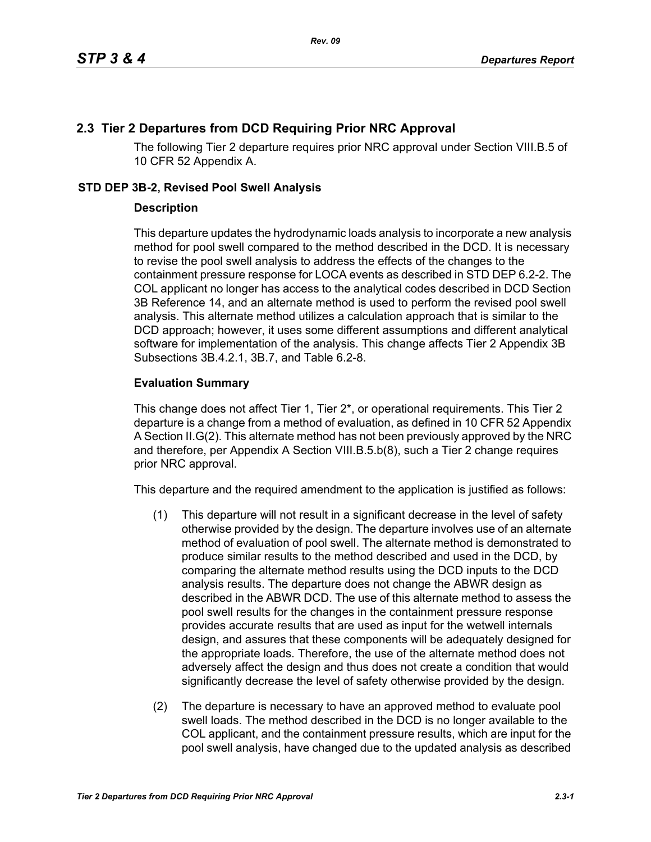## **2.3 Tier 2 Departures from DCD Requiring Prior NRC Approval**

The following Tier 2 departure requires prior NRC approval under Section VIII.B.5 of 10 CFR 52 Appendix A.

## **STD DEP 3B-2, Revised Pool Swell Analysis**

## **Description**

This departure updates the hydrodynamic loads analysis to incorporate a new analysis method for pool swell compared to the method described in the DCD. It is necessary to revise the pool swell analysis to address the effects of the changes to the containment pressure response for LOCA events as described in STD DEP 6.2-2. The COL applicant no longer has access to the analytical codes described in DCD Section 3B Reference 14, and an alternate method is used to perform the revised pool swell analysis. This alternate method utilizes a calculation approach that is similar to the DCD approach; however, it uses some different assumptions and different analytical software for implementation of the analysis. This change affects Tier 2 Appendix 3B Subsections 3B.4.2.1, 3B.7, and Table 6.2-8.

## **Evaluation Summary**

This change does not affect Tier 1, Tier 2\*, or operational requirements. This Tier 2 departure is a change from a method of evaluation, as defined in 10 CFR 52 Appendix A Section II.G(2). This alternate method has not been previously approved by the NRC and therefore, per Appendix A Section VIII.B.5.b(8), such a Tier 2 change requires prior NRC approval.

This departure and the required amendment to the application is justified as follows:

- (1) This departure will not result in a significant decrease in the level of safety otherwise provided by the design. The departure involves use of an alternate method of evaluation of pool swell. The alternate method is demonstrated to produce similar results to the method described and used in the DCD, by comparing the alternate method results using the DCD inputs to the DCD analysis results. The departure does not change the ABWR design as described in the ABWR DCD. The use of this alternate method to assess the pool swell results for the changes in the containment pressure response provides accurate results that are used as input for the wetwell internals design, and assures that these components will be adequately designed for the appropriate loads. Therefore, the use of the alternate method does not adversely affect the design and thus does not create a condition that would significantly decrease the level of safety otherwise provided by the design.
- (2) The departure is necessary to have an approved method to evaluate pool swell loads. The method described in the DCD is no longer available to the COL applicant, and the containment pressure results, which are input for the pool swell analysis, have changed due to the updated analysis as described